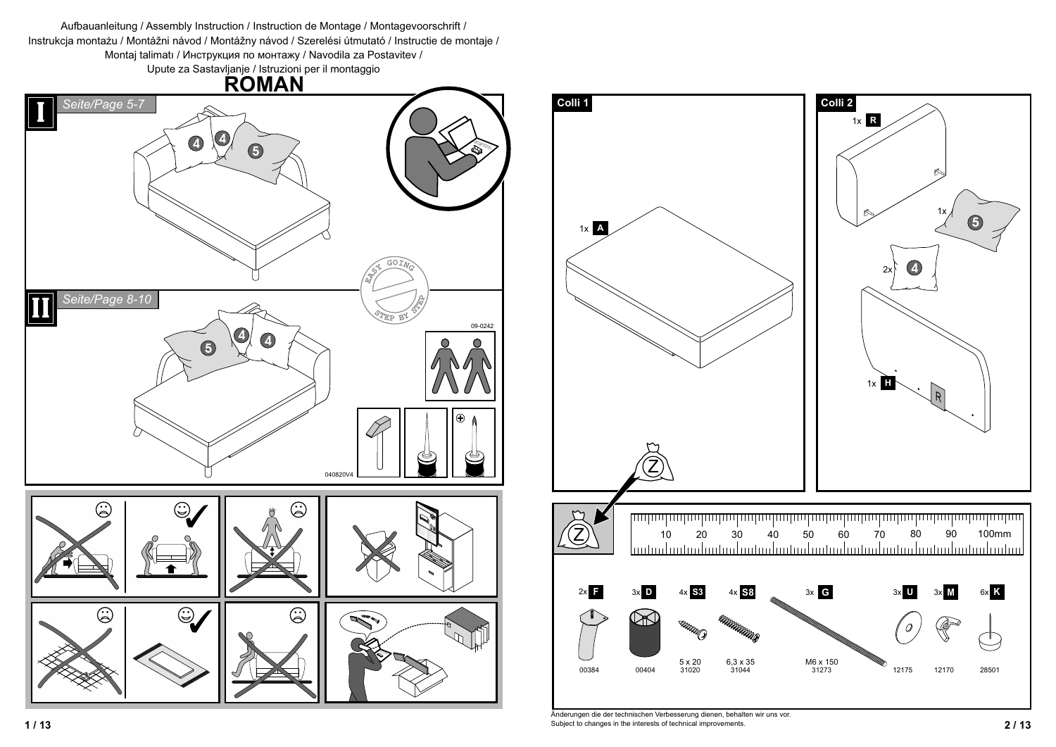

 **2 / 13** Subject to changes in the interests of technical improvements. Änderungen die der technischen Verbesserung dienen, behalten wir uns vor.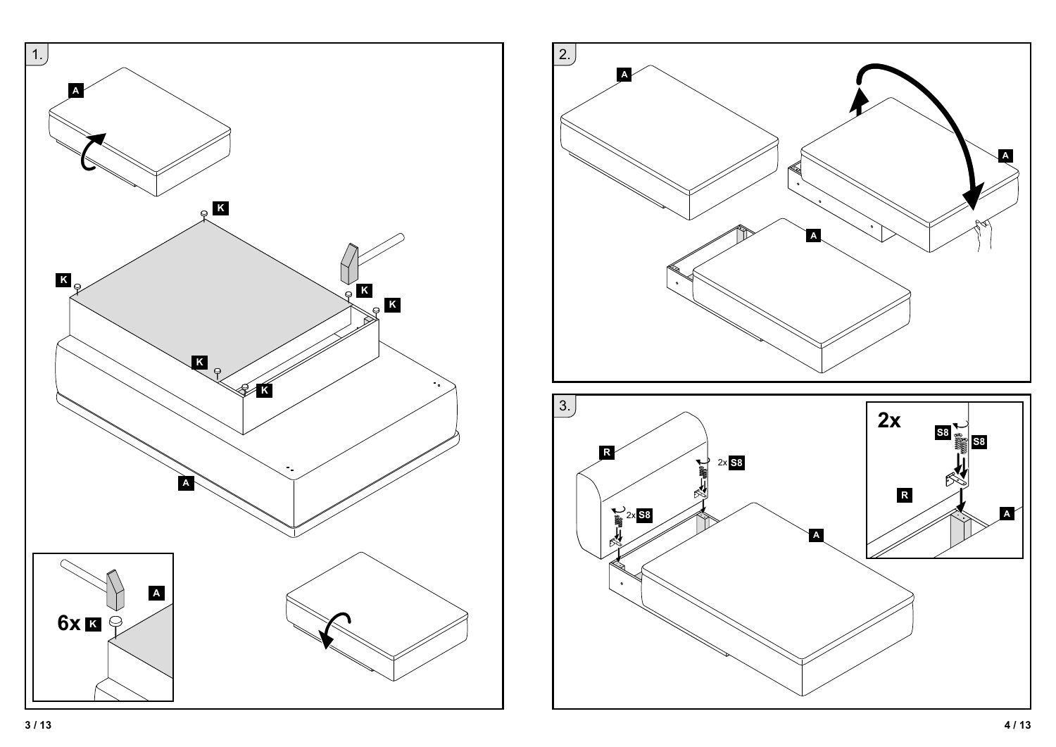

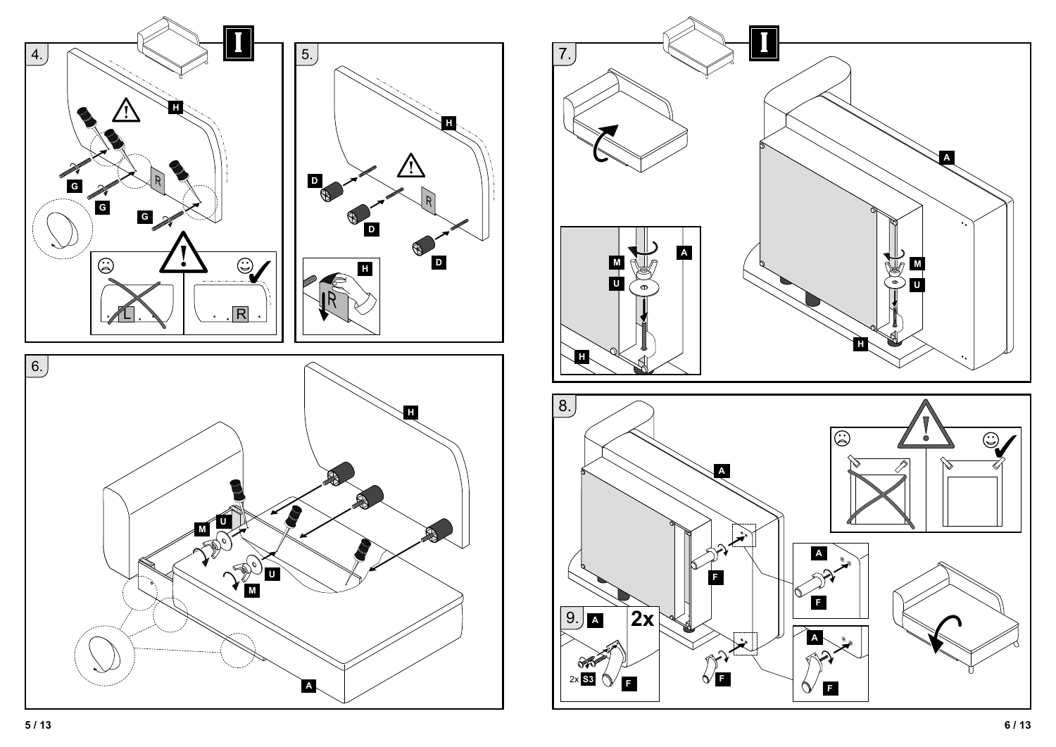**A**



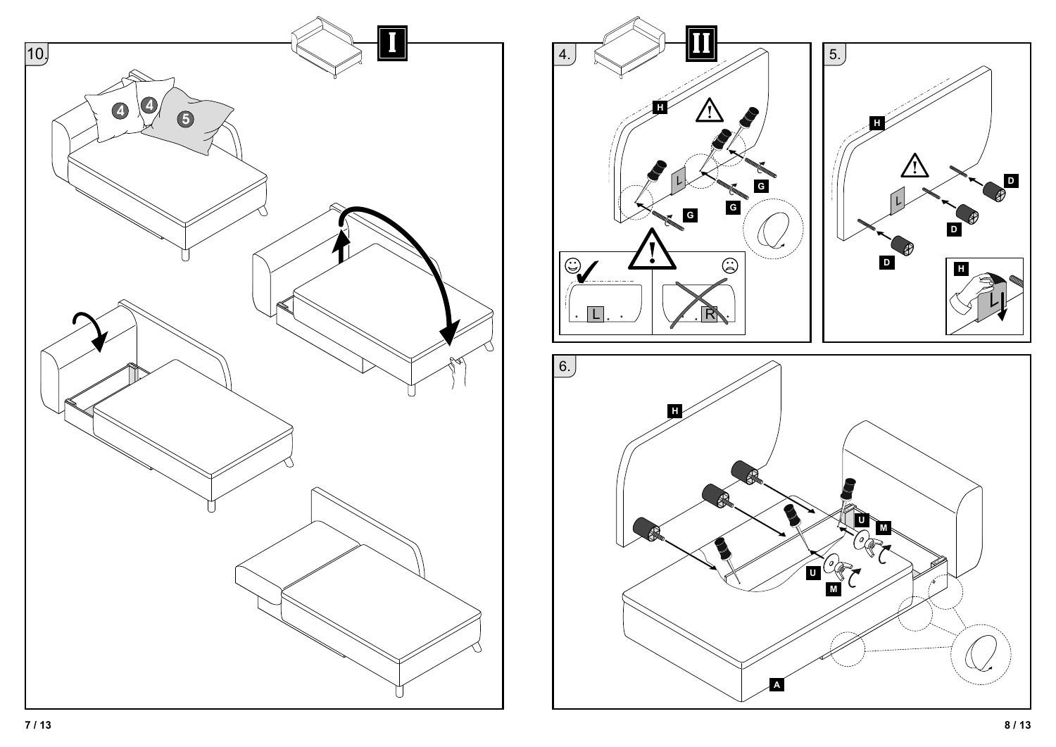

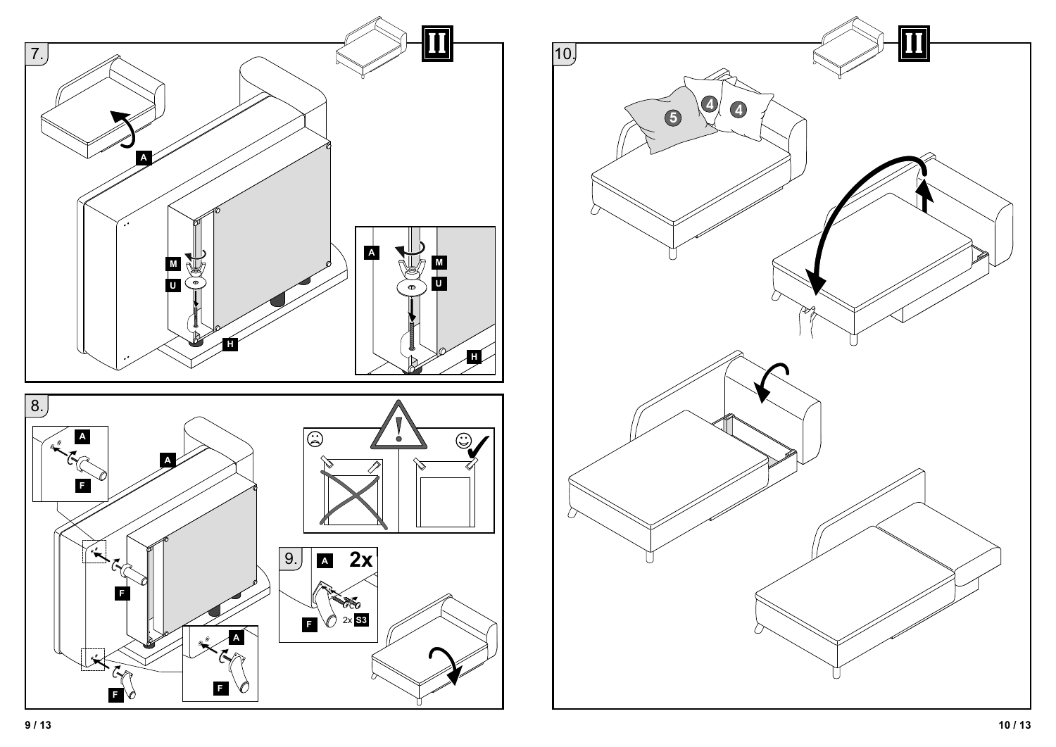

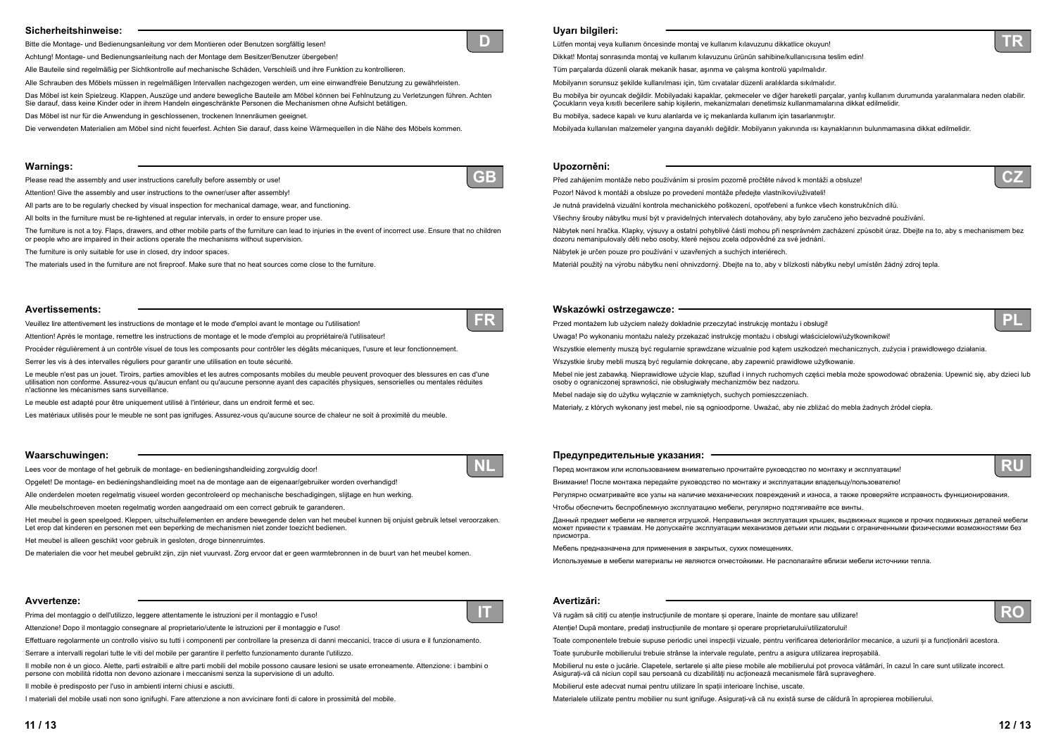# **Uyarı bilgileri:**

Lütfen montaj veya kullanım öncesinde montaj ve kullanım kılavuzunu dikkatlice okuyun! Dikkat! Montaj sonrasında montaj ve kullanım kılavuzunu ürünün sahibine/kullanıcısına teslim edin! Tüm parçalarda düzenli olarak mekanik hasar, aşınma ve çalışma kontrolü yapılmalıdır. Mobilyanın sorunsuz şekilde kullanılması için, tüm cıvatalar düzenli aralıklarda sıkılmalıdır. Bu mobilya bir oyuncak değildir. Mobilyadaki kapaklar, çekmeceler ve diğer hareketli parçalar, yanlış kullanım durumunda yaralanmalara neden olabilir. Cocukların veya kısıtlı becerilere sahip kisilerin, mekanizmaları denetimsiz kullanmamalarına dikkat edilmelidir. Bu mobilya, sadece kapalı ve kuru alanlarda ve iç mekanlarda kullanım için tasarlanmıştır. Mobilyada kullanılan malzemeler yangına dayanıklı değildir. Mobilyanın yakınında ısı kaynaklarının bulunmamasına dikkat edilmelidir.

# **Upozornění:**

Před zahájením montáže nebo používáním si prosím pozorně pročtěte návod k montáži a obsluze! Pozor! Návod k montáži a obsluze po provedení montáže předejte vlastníkovi/uživateli! Je nutná pravidelná vizuální kontrola mechanického poškození, opotřebení a funkce všech konstrukčních dílů. Všechny šrouby nábytku musí být v pravidelných intervalech dotahovány, aby bylo zaručeno jeho bezvadné používání. Nábytek není hračka. Klapky, výsuvy a ostatní pohyblivé části mohou při nesprávném zacházení způsobit úraz. Dbejte na to, aby s mechanismem bez dozoru nemanipulovaly děti nebo osoby, které nejsou zcela odpovědné za své jednání. Nábytek je určen pouze pro používání v uzavřených a suchých interiérech. Materiál použitý na výrobu nábytku není ohnivzdorný. Dbejte na to, aby v blízkosti nábytku nebyl umístěn žádný zdroj tepla.

### **Wskazówki ostrzegawcze:**

Przed montażem lub użyciem należy dokładnie przeczytać instrukcję montażu i obsługi! Uwaga! Po wykonaniu montażu należy przekazać instrukcję montażu i obsługi właścicielowi/użytkownikowi! Wszystkie elementy muszą być regularnie sprawdzane wizualnie pod kątem uszkodzeń mechanicznych, zużycia i prawidłowego działania. Wszystkie śruby mebli muszą być regularnie dokręcane, aby zapewnić prawidłowe użytkowanie. Mebel nie jest zabawką. Nieprawidłowe użycie klap, szuflad i innych ruchomych części mebla może spowodować obrażenia. Upewnić się, aby dzieci lub osoby o ograniczonej sprawności, nie obsługiwały mechanizmów bez nadzoru. Mebel nadaje się do użytku wyłącznie w zamkniętych, suchych pomieszczeniach. Materiały, z których wykonany jest mebel, nie są ognioodporne. Uważać, aby nie zbliżać do mebla żadnych źródeł ciepła.





**PL**

#### **Предупредительные указания:**

Перед монтажом или использованием внимательно прочитайте руководство по монтажу <sup>и</sup> эксплуатации! Внимание! После монтажа передайте руководство по монтажу <sup>и</sup> эксплуатации владельцу/пользователю! Регулярно осматривайте все узлы на наличие механических повреждений <sup>и</sup> износа, <sup>а</sup> также проверяйте исправность функционирования.

Чтобы обеспечить беспроблемную эксплуатацию мебели, регулярно подтягивайте все винты.

- 
- 
- 
- 
- 
- 
- 
- 
- 
- 
- 
- 
- 
- 
- 
- 
- 
- 
- 
- 
- 
- 
- 
- Данный предмет мебели не является игрушкой. Неправильная эксплуатация крышек, выдвижных ящиков <sup>и</sup> прочих подвижных деталей мебели
	-
	-
	-
	-
	-
	-
	-
	-

может привести <sup>к</sup> травмам. Не допускайте эксплуатации механизмов детьми или людьми <sup>с</sup> ограниченными физическими возможностями без присмотра.

Мебель предназначена для применения <sup>в</sup> закрытых, сухих помещениях.

Используемые <sup>в</sup> мебели материалы не являются огнестойкими. Не располагайте вблизи мебели источники тепла.

## **Avertizări:**

Vă rugăm să citiți cu atenție instrucțiunile de montare și operare, înainte de montare sau utilizare! Atentie! După montare, predati instructiunile de montare și operare proprietarului/utilizatorului! Toate componentele trebuie supuse periodic unei inspectii vizuale, pentru verificarea deteriorărilor mecanice, a uzurii și a functionării acestora. Toate șuruburile mobilierului trebuie strânse la intervale regulate, pentru a asigura utilizarea ireproșabilă. Mobilierul nu este o jucărie. Clapetele, sertarele și alte piese mobile ale mobilierului pot provoca vătămări, în cazul în care sunt utilizate incorect. Asigurați-vă că niciun copil sau persoană cu dizabilități nu acționează mecanismele fără supraveghere. Mobilierul este adecvat numai pentru utilizare în spa\_ii interioare închise, uscate. Materialele utilizate pentru mobilier nu sunt ignifuge. Asigurați-vă că nu există surse de căldură în apropierea mobilierului.





# **Sicherheitshinweise:**

Bitte die Montage- und Bedienungsanleitung vor dem Montieren oder Benutzen sorgfältig lesen!

Achtung! Montage- und Bedienungsanleitung nach der Montage dem Besitzer/Benutzer übergeben!

Alle Bauteile sind regelmäßig per Sichtkontrolle auf mechanische Schäden, Verschleiß und ihre Funktion zu kontrollieren.

Alle Schrauben des Möbels müssen in regelmäßigen Intervallen nachgezogen werden, um eine einwandfreie Benutzung zu gewährleisten.

Das Möbel ist kein Spielzeug. Klappen, Auszüge und andere bewegliche Bauteile am Möbel können bei Fehlnutzung zu Verletzungen führen. Achten Sie darauf, dass keine Kinder oder in ihrem Handeln eingeschränkte Personen die Mechanismen ohne Aufsicht betätigen.

Das Möbel ist nur für die Anwendung in geschlossenen, trockenen Innenräumen geeignet.

Die verwendeten Materialien am Möbel sind nicht feuerfest. Achten Sie darauf, dass keine Wärmequellen in die Nähe des Möbels kommen.

# **Avvertenze:**

Prima del montaggio o dell'utilizzo, leggere attentamente le istruzioni per il montaggio e l'uso!

Attenzione! Dopo il montaggio consegnare al proprietario/utente le istruzioni per il montaggio e l'uso!

Effettuare regolarmente un controllo visivo su tutti i componenti per controllare la presenza di danni meccanici, tracce di usura e il funzionamento.

Serrare a intervalli regolari tutte le viti del mobile per garantire il perfetto funzionamento durante l'utilizzo.

Il mobile non è un gioco. Alette, parti estraibili e altre parti mobili del mobile possono causare lesioni se usate erroneamente. Attenzione: i bambini o persone con mobilità ridotta non devono azionare i meccanismi senza la supervisione di un adulto.

Il mobile è predisposto per l'uso in ambienti interni chiusi e asciutti.

I materiali del mobile usati non sono ignifughi. Fare attenzione a non avvicinare fonti di calore in prossimità del mobile.

#### **Warnings:**

Please read the assembly and user instructions carefully before assembly or use!

Attention! Give the assembly and user instructions to the owner/user after assembly!

All parts are to be regularly checked by visual inspection for mechanical damage, wear, and functioning.

All bolts in the furniture must be re-tightened at regular intervals, in order to ensure proper use.

The furniture is not a toy. Flaps, drawers, and other mobile parts of the furniture can lead to injuries in the event of incorrect use. Ensure that no children or people who are impaired in their actions operate the mechanisms without supervision.

The furniture is only suitable for use in closed, dry indoor spaces.

The materials used in the furniture are not fireproof. Make sure that no heat sources come close to the furniture.

#### **Avertissements:**

Veuillez lire attentivement les instructions de montage et le mode d'emploi avant le montage ou l'utilisation!

Attention! Après le montage, remettre les instructions de montage et le mode d'emploi au propriétaire/à l'utilisateur!

Procéder régulièrement à un contrôle visuel de tous les composants pour contrôler les dégâts mécaniques, l'usure et leur fonctionnement.

Serrer les vis à des intervalles réguliers pour garantir une utilisation en toute sécurité.

Le meuble n'est pas un jouet. Tiroirs, parties amovibles et les autres composants mobiles du meuble peuvent provoquer des blessures en cas d'une utilisation non conforme. Assurez-vous qu'aucun enfant ou qu'aucune personne ayant des capacités physiques, sensorielles ou mentales réduites n'actionne les mécanismes sans surveillance.

Le meuble est adapté pour être uniquement utilisé à l'intérieur, dans un endroit fermé et sec.

Les matériaux utilisés pour le meuble ne sont pas ignifuges. Assurez-vous qu'aucune source de chaleur ne soit à proximité du meuble.

# **Waarschuwingen:**

Lees voor de montage of het gebruik de montage- en bedieningshandleiding zorgvuldig door!

Opgelet! De montage- en bedieningshandleiding moet na de montage aan de eigenaar/gebruiker worden overhandigd!

Alle onderdelen moeten regelmatig visueel worden gecontroleerd op mechanische beschadigingen, slijtage en hun werking.

Alle meubelschroeven moeten regelmatig worden aangedraaid om een correct gebruik te garanderen.

Het meubel is geen speelgoed. Kleppen, uitschuifelementen en andere bewegende delen van het meubel kunnen bij onjuist gebruik letsel veroorzaken. Let erop dat kinderen en personen met een beperking de mechanismen niet zonder toezicht bedienen.

Het meubel is alleen geschikt voor gebruik in gesloten, droge binnenruimtes.

De materialen die voor het meubel gebruikt zijn, zijn niet vuurvast. Zorg ervoor dat er geen warmtebronnen in de buurt van het meubel komen.



**IT**

**GB**



**NL**